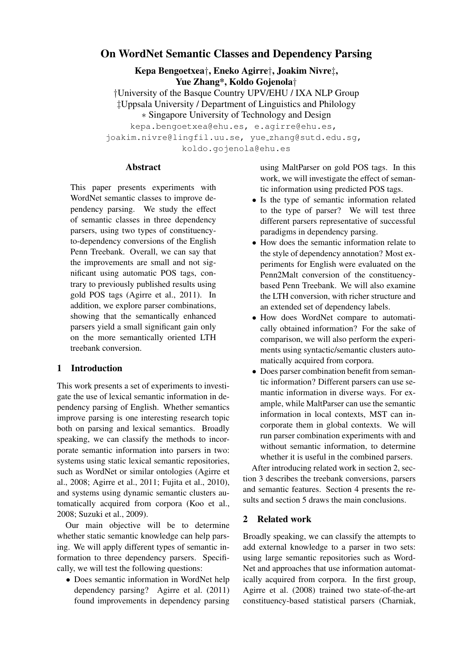# On WordNet Semantic Classes and Dependency Parsing

Kepa Bengoetxea†, Eneko Agirre†, Joakim Nivre‡, Yue Zhang\*, Koldo Gojenola†

†University of the Basque Country UPV/EHU / IXA NLP Group ‡Uppsala University / Department of Linguistics and Philology ∗ Singapore University of Technology and Design

kepa.bengoetxea@ehu.es, e.agirre@ehu.es, joakim.nivre@lingfil.uu.se, yue zhang@sutd.edu.sg, koldo.gojenola@ehu.es

### **Abstract**

This paper presents experiments with WordNet semantic classes to improve dependency parsing. We study the effect of semantic classes in three dependency parsers, using two types of constituencyto-dependency conversions of the English Penn Treebank. Overall, we can say that the improvements are small and not significant using automatic POS tags, contrary to previously published results using gold POS tags (Agirre et al., 2011). In addition, we explore parser combinations, showing that the semantically enhanced parsers yield a small significant gain only on the more semantically oriented LTH treebank conversion.

# 1 Introduction

This work presents a set of experiments to investigate the use of lexical semantic information in dependency parsing of English. Whether semantics improve parsing is one interesting research topic both on parsing and lexical semantics. Broadly speaking, we can classify the methods to incorporate semantic information into parsers in two: systems using static lexical semantic repositories, such as WordNet or similar ontologies (Agirre et al., 2008; Agirre et al., 2011; Fujita et al., 2010), and systems using dynamic semantic clusters automatically acquired from corpora (Koo et al., 2008; Suzuki et al., 2009).

Our main objective will be to determine whether static semantic knowledge can help parsing. We will apply different types of semantic information to three dependency parsers. Specifically, we will test the following questions:

• Does semantic information in WordNet help dependency parsing? Agirre et al. (2011) found improvements in dependency parsing using MaltParser on gold POS tags. In this work, we will investigate the effect of semantic information using predicted POS tags.

- Is the type of semantic information related to the type of parser? We will test three different parsers representative of successful paradigms in dependency parsing.
- How does the semantic information relate to the style of dependency annotation? Most experiments for English were evaluated on the Penn2Malt conversion of the constituencybased Penn Treebank. We will also examine the LTH conversion, with richer structure and an extended set of dependency labels.
- How does WordNet compare to automatically obtained information? For the sake of comparison, we will also perform the experiments using syntactic/semantic clusters automatically acquired from corpora.
- Does parser combination benefit from semantic information? Different parsers can use semantic information in diverse ways. For example, while MaltParser can use the semantic information in local contexts, MST can incorporate them in global contexts. We will run parser combination experiments with and without semantic information, to determine whether it is useful in the combined parsers.

After introducing related work in section 2, section 3 describes the treebank conversions, parsers and semantic features. Section 4 presents the results and section 5 draws the main conclusions.

# 2 Related work

Broadly speaking, we can classify the attempts to add external knowledge to a parser in two sets: using large semantic repositories such as Word-Net and approaches that use information automatically acquired from corpora. In the first group, Agirre et al. (2008) trained two state-of-the-art constituency-based statistical parsers (Charniak,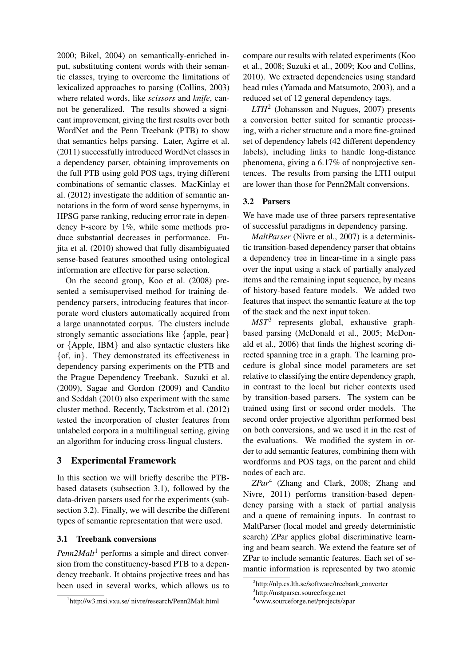2000; Bikel, 2004) on semantically-enriched input, substituting content words with their semantic classes, trying to overcome the limitations of lexicalized approaches to parsing (Collins, 2003) where related words, like *scissors* and *knife*, cannot be generalized. The results showed a signicant improvement, giving the first results over both WordNet and the Penn Treebank (PTB) to show that semantics helps parsing. Later, Agirre et al. (2011) successfully introduced WordNet classes in a dependency parser, obtaining improvements on the full PTB using gold POS tags, trying different combinations of semantic classes. MacKinlay et al. (2012) investigate the addition of semantic annotations in the form of word sense hypernyms, in HPSG parse ranking, reducing error rate in dependency F-score by 1%, while some methods produce substantial decreases in performance. Fujita et al. (2010) showed that fully disambiguated sense-based features smoothed using ontological information are effective for parse selection.

On the second group, Koo et al. (2008) presented a semisupervised method for training dependency parsers, introducing features that incorporate word clusters automatically acquired from a large unannotated corpus. The clusters include strongly semantic associations like {apple, pear} or {Apple, IBM} and also syntactic clusters like {of, in}. They demonstrated its effectiveness in dependency parsing experiments on the PTB and the Prague Dependency Treebank. Suzuki et al. (2009), Sagae and Gordon (2009) and Candito and Seddah (2010) also experiment with the same cluster method. Recently, Täckström et al. (2012) tested the incorporation of cluster features from unlabeled corpora in a multilingual setting, giving an algorithm for inducing cross-lingual clusters.

# 3 Experimental Framework

In this section we will briefly describe the PTBbased datasets (subsection 3.1), followed by the data-driven parsers used for the experiments (subsection 3.2). Finally, we will describe the different types of semantic representation that were used.

# 3.1 Treebank conversions

*Penn2Malt*<sup>1</sup> performs a simple and direct conversion from the constituency-based PTB to a dependency treebank. It obtains projective trees and has been used in several works, which allows us to

compare our results with related experiments (Koo et al., 2008; Suzuki et al., 2009; Koo and Collins, 2010). We extracted dependencies using standard head rules (Yamada and Matsumoto, 2003), and a reduced set of 12 general dependency tags.

*LTH*<sup>2</sup> (Johansson and Nugues, 2007) presents a conversion better suited for semantic processing, with a richer structure and a more fine-grained set of dependency labels (42 different dependency labels), including links to handle long-distance phenomena, giving a 6.17% of nonprojective sentences. The results from parsing the LTH output are lower than those for Penn2Malt conversions.

# 3.2 Parsers

We have made use of three parsers representative of successful paradigms in dependency parsing.

*MaltParser* (Nivre et al., 2007) is a deterministic transition-based dependency parser that obtains a dependency tree in linear-time in a single pass over the input using a stack of partially analyzed items and the remaining input sequence, by means of history-based feature models. We added two features that inspect the semantic feature at the top of the stack and the next input token.

*MST*<sup>3</sup> represents global, exhaustive graphbased parsing (McDonald et al., 2005; McDonald et al., 2006) that finds the highest scoring directed spanning tree in a graph. The learning procedure is global since model parameters are set relative to classifying the entire dependency graph, in contrast to the local but richer contexts used by transition-based parsers. The system can be trained using first or second order models. The second order projective algorithm performed best on both conversions, and we used it in the rest of the evaluations. We modified the system in order to add semantic features, combining them with wordforms and POS tags, on the parent and child nodes of each arc.

*ZPar*<sup>4</sup> (Zhang and Clark, 2008; Zhang and Nivre, 2011) performs transition-based dependency parsing with a stack of partial analysis and a queue of remaining inputs. In contrast to MaltParser (local model and greedy deterministic search) ZPar applies global discriminative learning and beam search. We extend the feature set of ZPar to include semantic features. Each set of semantic information is represented by two atomic

<sup>1</sup> http://w3.msi.vxu.se/ nivre/research/Penn2Malt.html

<sup>&</sup>lt;sup>2</sup>http://nlp.cs.lth.se/software/treebank\_converter

<sup>3</sup> http://mstparser.sourceforge.net

<sup>4</sup>www.sourceforge.net/projects/zpar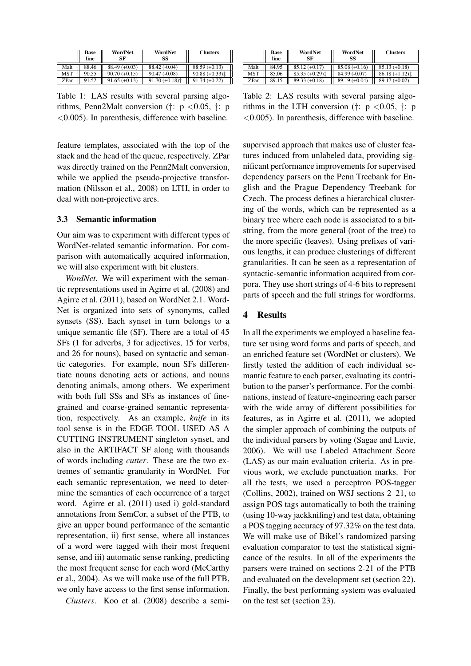|            | Base<br>line | WordNet<br>SF   | WordNet<br>SS                | <b>Clusters</b> |
|------------|--------------|-----------------|------------------------------|-----------------|
| Malt       | 88.46        | $88.49 (+0.03)$ | $88.42(-0.04)$               | $88.59 (+0.13)$ |
| <b>MST</b> | 90.55        | $90.70(+0.15)$  | $90.47(-0.08)$               | $90.88 (+0.33)$ |
| ZPar       | 91.52        | $91.65 (+0.13)$ | $91.70 (+0.18)$ <sup>+</sup> | $91.74(+0.22)$  |

Table 1: LAS results with several parsing algorithms, Penn2Malt conversion (†:  $p < 0.05$ , ‡: p <0.005). In parenthesis, difference with baseline.

feature templates, associated with the top of the stack and the head of the queue, respectively. ZPar was directly trained on the Penn2Malt conversion, while we applied the pseudo-projective transformation (Nilsson et al., 2008) on LTH, in order to deal with non-projective arcs.

### 3.3 Semantic information

Our aim was to experiment with different types of WordNet-related semantic information. For comparison with automatically acquired information, we will also experiment with bit clusters.

*WordNet*. We will experiment with the semantic representations used in Agirre et al. (2008) and Agirre et al. (2011), based on WordNet 2.1. Word-Net is organized into sets of synonyms, called synsets (SS). Each synset in turn belongs to a unique semantic file (SF). There are a total of 45 SFs (1 for adverbs, 3 for adjectives, 15 for verbs, and 26 for nouns), based on syntactic and semantic categories. For example, noun SFs differentiate nouns denoting acts or actions, and nouns denoting animals, among others. We experiment with both full SSs and SFs as instances of finegrained and coarse-grained semantic representation, respectively. As an example, *knife* in its tool sense is in the EDGE TOOL USED AS A CUTTING INSTRUMENT singleton synset, and also in the ARTIFACT SF along with thousands of words including *cutter*. These are the two extremes of semantic granularity in WordNet. For each semantic representation, we need to determine the semantics of each occurrence of a target word. Agirre et al. (2011) used i) gold-standard annotations from SemCor, a subset of the PTB, to give an upper bound performance of the semantic representation, ii) first sense, where all instances of a word were tagged with their most frequent sense, and iii) automatic sense ranking, predicting the most frequent sense for each word (McCarthy et al., 2004). As we will make use of the full PTB, we only have access to the first sense information.

*Clusters*. Koo et al. (2008) describe a semi-

|      | Base<br>line | WordNet<br>SF   | WordNet<br>SS   | <b>Clusters</b>    |
|------|--------------|-----------------|-----------------|--------------------|
| Malt | 84.95        | $85.12 (+0.17)$ | $85.08 (+0.16)$ | $85.13 (+0.18)$    |
| MST  | 85.06        | $85.35 (+0.29)$ | $84.99(-0.07)$  | $86.18 (+1.12)$    |
| ZPar | 89.15        | $89.33(+0.18)$  | $89.19(+0.04)$  | 89.17<br>$(+0.02)$ |

Table 2: LAS results with several parsing algorithms in the LTH conversion (†:  $p < 0.05$ , ‡: p <0.005). In parenthesis, difference with baseline.

supervised approach that makes use of cluster features induced from unlabeled data, providing significant performance improvements for supervised dependency parsers on the Penn Treebank for English and the Prague Dependency Treebank for Czech. The process defines a hierarchical clustering of the words, which can be represented as a binary tree where each node is associated to a bitstring, from the more general (root of the tree) to the more specific (leaves). Using prefixes of various lengths, it can produce clusterings of different granularities. It can be seen as a representation of syntactic-semantic information acquired from corpora. They use short strings of 4-6 bits to represent parts of speech and the full strings for wordforms.

#### 4 Results

In all the experiments we employed a baseline feature set using word forms and parts of speech, and an enriched feature set (WordNet or clusters). We firstly tested the addition of each individual semantic feature to each parser, evaluating its contribution to the parser's performance. For the combinations, instead of feature-engineering each parser with the wide array of different possibilities for features, as in Agirre et al. (2011), we adopted the simpler approach of combining the outputs of the individual parsers by voting (Sagae and Lavie, 2006). We will use Labeled Attachment Score (LAS) as our main evaluation criteria. As in previous work, we exclude punctuation marks. For all the tests, we used a perceptron POS-tagger (Collins, 2002), trained on WSJ sections 2–21, to assign POS tags automatically to both the training (using 10-way jackknifing) and test data, obtaining a POS tagging accuracy of 97.32% on the test data. We will make use of Bikel's randomized parsing evaluation comparator to test the statistical signicance of the results. In all of the experiments the parsers were trained on sections 2-21 of the PTB and evaluated on the development set (section 22). Finally, the best performing system was evaluated on the test set (section 23).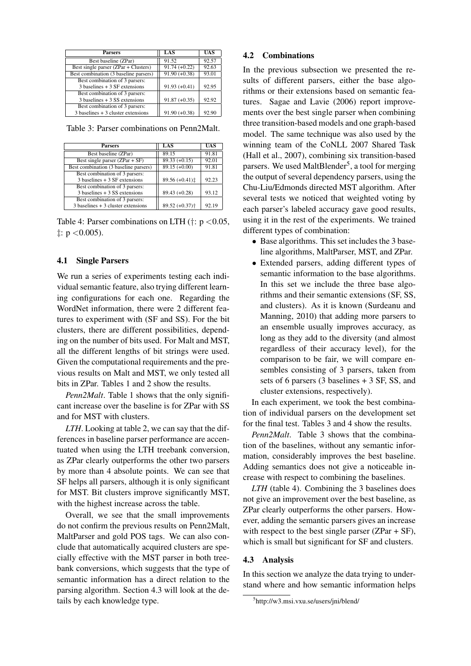| <b>Parsers</b>                        | LAS             | <b>UAS</b> |
|---------------------------------------|-----------------|------------|
| Best baseline (ZPar)                  | 91.52           | 92.57      |
| Best single parser (ZPar + Clusters)  | $91.74 (+0.22)$ | 92.63      |
| Best combination (3 baseline parsers) | $91.90 (+0.38)$ | 93.01      |
| Best combination of 3 parsers:        |                 |            |
| $3$ baselines $+3$ SF extensions      | $91.93 (+0.41)$ | 92.95      |
| Best combination of 3 parsers:        |                 |            |
| $3$ baselines $+3$ SS extensions      | $91.87 (+0.35)$ | 92.92      |
| Best combination of 3 parsers:        |                 |            |
| $3$ baselines $+3$ cluster extensions | $91.90 (+0.38)$ | 92.90      |

Table 3: Parser combinations on Penn2Malt.

| <b>Parsers</b>                        | LAS                          | <b>UAS</b> |
|---------------------------------------|------------------------------|------------|
| Best baseline (ZPar)                  | 89.15                        | 91.81      |
| Best single parser $(ZPar + SF)$      | $89.33 (+0.15)$              | 92.01      |
| Best combination (3 baseline parsers) | $89.15 (+0.00)$              | 91.81      |
| Best combination of 3 parsers:        |                              |            |
| $3$ baselines $+3$ SF extensions      | $89.56 (+0.41)$              | 92.23      |
| Best combination of 3 parsers:        |                              |            |
| $3$ baselines $+3$ SS extensions      | $89.43 (+0.28)$              | 93.12      |
| Best combination of 3 parsers:        |                              |            |
| $3$ baselines $+3$ cluster extensions | $89.52 (+0.37)$ <sup>+</sup> | 92.19      |

Table 4: Parser combinations on LTH ( $\dagger$ : p <0.05,  $\ddagger$ : p < 0.005).

#### 4.1 Single Parsers

We run a series of experiments testing each individual semantic feature, also trying different learning configurations for each one. Regarding the WordNet information, there were 2 different features to experiment with (SF and SS). For the bit clusters, there are different possibilities, depending on the number of bits used. For Malt and MST, all the different lengths of bit strings were used. Given the computational requirements and the previous results on Malt and MST, we only tested all bits in ZPar. Tables 1 and 2 show the results.

*Penn2Malt*. Table 1 shows that the only significant increase over the baseline is for ZPar with SS and for MST with clusters.

*LTH*. Looking at table 2, we can say that the differences in baseline parser performance are accentuated when using the LTH treebank conversion, as ZPar clearly outperforms the other two parsers by more than 4 absolute points. We can see that SF helps all parsers, although it is only significant for MST. Bit clusters improve significantly MST, with the highest increase across the table.

Overall, we see that the small improvements do not confirm the previous results on Penn2Malt, MaltParser and gold POS tags. We can also conclude that automatically acquired clusters are specially effective with the MST parser in both treebank conversions, which suggests that the type of semantic information has a direct relation to the parsing algorithm. Section 4.3 will look at the details by each knowledge type.

#### 4.2 Combinations

In the previous subsection we presented the results of different parsers, either the base algorithms or their extensions based on semantic features. Sagae and Lavie (2006) report improvements over the best single parser when combining three transition-based models and one graph-based model. The same technique was also used by the winning team of the CoNLL 2007 Shared Task (Hall et al., 2007), combining six transition-based parsers. We used MaltBlender<sup>5</sup>, a tool for merging the output of several dependency parsers, using the Chu-Liu/Edmonds directed MST algorithm. After several tests we noticed that weighted voting by each parser's labeled accuracy gave good results, using it in the rest of the experiments. We trained different types of combination:

- Base algorithms. This set includes the 3 baseline algorithms, MaltParser, MST, and ZPar.
- Extended parsers, adding different types of semantic information to the base algorithms. In this set we include the three base algorithms and their semantic extensions (SF, SS, and clusters). As it is known (Surdeanu and Manning, 2010) that adding more parsers to an ensemble usually improves accuracy, as long as they add to the diversity (and almost regardless of their accuracy level), for the comparison to be fair, we will compare ensembles consisting of 3 parsers, taken from sets of 6 parsers (3 baselines + 3 SF, SS, and cluster extensions, respectively).

In each experiment, we took the best combination of individual parsers on the development set for the final test. Tables 3 and 4 show the results.

*Penn2Malt*. Table 3 shows that the combination of the baselines, without any semantic information, considerably improves the best baseline. Adding semantics does not give a noticeable increase with respect to combining the baselines.

*LTH* (table 4). Combining the 3 baselines does not give an improvement over the best baseline, as ZPar clearly outperforms the other parsers. However, adding the semantic parsers gives an increase with respect to the best single parser  $(ZPar + SF)$ , which is small but significant for SF and clusters.

#### 4.3 Analysis

In this section we analyze the data trying to understand where and how semantic information helps

<sup>5</sup> http://w3.msi.vxu.se/users/jni/blend/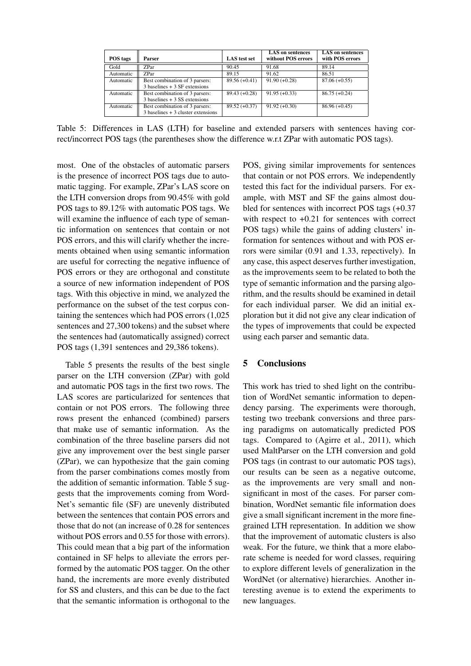| POS tags  | Parser                                                                  | <b>LAS</b> test set | <b>LAS</b> on sentences<br>without POS errors | <b>LAS</b> on sentences<br>with POS errors |
|-----------|-------------------------------------------------------------------------|---------------------|-----------------------------------------------|--------------------------------------------|
| Gold      | <b>ZPar</b>                                                             | 90.45               | 91.68                                         | 89.14                                      |
| Automatic | <b>ZPar</b>                                                             | 89.15               | 91.62                                         | 86.51                                      |
| Automatic | Best combination of 3 parsers:<br>$3$ baselines $+3$ SF extensions      | $89.56 (+0.41)$     | $91.90 (+0.28)$                               | $87.06 (+0.55)$                            |
| Automatic | Best combination of 3 parsers:<br>$3$ baselines $+3$ SS extensions      | $89.43 (+0.28)$     | $91.95 (+0.33)$                               | $86.75 (+0.24)$                            |
| Automatic | Best combination of 3 parsers:<br>$3$ baselines $+3$ cluster extensions | $89.52 \ (+0.37)$   | $91.92 (+0.30)$                               | $86.96 (+0.45)$                            |

Table 5: Differences in LAS (LTH) for baseline and extended parsers with sentences having correct/incorrect POS tags (the parentheses show the difference w.r.t ZPar with automatic POS tags).

most. One of the obstacles of automatic parsers is the presence of incorrect POS tags due to automatic tagging. For example, ZPar's LAS score on the LTH conversion drops from 90.45% with gold POS tags to 89.12% with automatic POS tags. We will examine the influence of each type of semantic information on sentences that contain or not POS errors, and this will clarify whether the increments obtained when using semantic information are useful for correcting the negative influence of POS errors or they are orthogonal and constitute a source of new information independent of POS tags. With this objective in mind, we analyzed the performance on the subset of the test corpus containing the sentences which had POS errors (1,025 sentences and 27,300 tokens) and the subset where the sentences had (automatically assigned) correct POS tags (1,391 sentences and 29,386 tokens).

Table 5 presents the results of the best single parser on the LTH conversion (ZPar) with gold and automatic POS tags in the first two rows. The LAS scores are particularized for sentences that contain or not POS errors. The following three rows present the enhanced (combined) parsers that make use of semantic information. As the combination of the three baseline parsers did not give any improvement over the best single parser (ZPar), we can hypothesize that the gain coming from the parser combinations comes mostly from the addition of semantic information. Table 5 suggests that the improvements coming from Word-Net's semantic file (SF) are unevenly distributed between the sentences that contain POS errors and those that do not (an increase of 0.28 for sentences without POS errors and 0.55 for those with errors). This could mean that a big part of the information contained in SF helps to alleviate the errors performed by the automatic POS tagger. On the other hand, the increments are more evenly distributed for SS and clusters, and this can be due to the fact that the semantic information is orthogonal to the POS, giving similar improvements for sentences that contain or not POS errors. We independently tested this fact for the individual parsers. For example, with MST and SF the gains almost doubled for sentences with incorrect POS tags (+0.37 with respect to  $+0.21$  for sentences with correct POS tags) while the gains of adding clusters' information for sentences without and with POS errors were similar (0.91 and 1.33, repectively). In any case, this aspect deserves further investigation, as the improvements seem to be related to both the type of semantic information and the parsing algorithm, and the results should be examined in detail for each individual parser. We did an initial exploration but it did not give any clear indication of the types of improvements that could be expected using each parser and semantic data.

# 5 Conclusions

This work has tried to shed light on the contribution of WordNet semantic information to dependency parsing. The experiments were thorough, testing two treebank conversions and three parsing paradigms on automatically predicted POS tags. Compared to (Agirre et al., 2011), which used MaltParser on the LTH conversion and gold POS tags (in contrast to our automatic POS tags), our results can be seen as a negative outcome, as the improvements are very small and nonsignificant in most of the cases. For parser combination, WordNet semantic file information does give a small significant increment in the more finegrained LTH representation. In addition we show that the improvement of automatic clusters is also weak. For the future, we think that a more elaborate scheme is needed for word classes, requiring to explore different levels of generalization in the WordNet (or alternative) hierarchies. Another interesting avenue is to extend the experiments to new languages.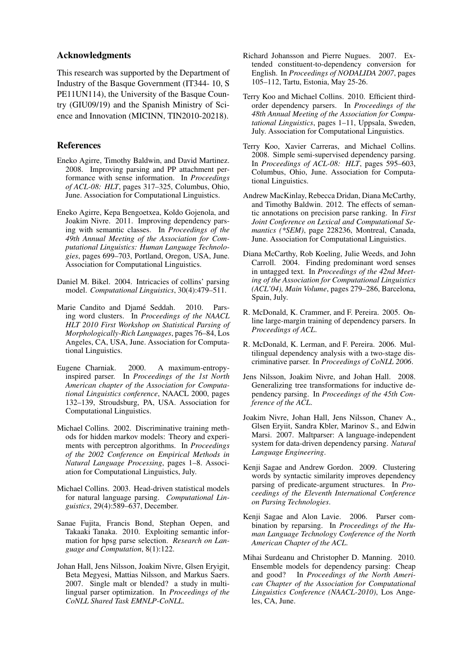### Acknowledgments

This research was supported by the Department of Industry of the Basque Government (IT344- 10, S PE11UN114), the University of the Basque Country (GIU09/19) and the Spanish Ministry of Science and Innovation (MICINN, TIN2010-20218).

### References

- Eneko Agirre, Timothy Baldwin, and David Martinez. 2008. Improving parsing and PP attachment performance with sense information. In *Proceedings of ACL-08: HLT*, pages 317–325, Columbus, Ohio, June. Association for Computational Linguistics.
- Eneko Agirre, Kepa Bengoetxea, Koldo Gojenola, and Joakim Nivre. 2011. Improving dependency parsing with semantic classes. In *Proceedings of the 49th Annual Meeting of the Association for Computational Linguistics: Human Language Technologies*, pages 699–703, Portland, Oregon, USA, June. Association for Computational Linguistics.
- Daniel M. Bikel. 2004. Intricacies of collins' parsing model. *Computational Linguistics*, 30(4):479–511.
- Marie Candito and Djamé Seddah. 2010. Parsing word clusters. In *Proceedings of the NAACL HLT 2010 First Workshop on Statistical Parsing of Morphologically-Rich Languages*, pages 76–84, Los Angeles, CA, USA, June. Association for Computational Linguistics.
- Eugene Charniak. 2000. A maximum-entropyinspired parser. In *Proceedings of the 1st North American chapter of the Association for Computational Linguistics conference*, NAACL 2000, pages 132–139, Stroudsburg, PA, USA. Association for Computational Linguistics.
- Michael Collins. 2002. Discriminative training methods for hidden markov models: Theory and experiments with perceptron algorithms. In *Proceedings of the 2002 Conference on Empirical Methods in Natural Language Processing*, pages 1–8. Association for Computational Linguistics, July.
- Michael Collins. 2003. Head-driven statistical models for natural language parsing. *Computational Linguistics*, 29(4):589–637, December.
- Sanae Fujita, Francis Bond, Stephan Oepen, and Takaaki Tanaka. 2010. Exploiting semantic information for hpsg parse selection. *Research on Language and Computation*, 8(1):122.
- Johan Hall, Jens Nilsson, Joakim Nivre, Glsen Eryigit, Beta Megyesi, Mattias Nilsson, and Markus Saers. 2007. Single malt or blended? a study in multilingual parser optimization. In *Proceedings of the CoNLL Shared Task EMNLP-CoNLL*.
- Richard Johansson and Pierre Nugues. 2007. Extended constituent-to-dependency conversion for English. In *Proceedings of NODALIDA 2007*, pages 105–112, Tartu, Estonia, May 25-26.
- Terry Koo and Michael Collins. 2010. Efficient thirdorder dependency parsers. In *Proceedings of the 48th Annual Meeting of the Association for Computational Linguistics*, pages 1–11, Uppsala, Sweden, July. Association for Computational Linguistics.
- Terry Koo, Xavier Carreras, and Michael Collins. 2008. Simple semi-supervised dependency parsing. In *Proceedings of ACL-08: HLT*, pages 595–603, Columbus, Ohio, June. Association for Computational Linguistics.
- Andrew MacKinlay, Rebecca Dridan, Diana McCarthy, and Timothy Baldwin. 2012. The effects of semantic annotations on precision parse ranking. In *First Joint Conference on Lexical and Computational Semantics (\*SEM)*, page 228236, Montreal, Canada, June. Association for Computational Linguistics.
- Diana McCarthy, Rob Koeling, Julie Weeds, and John Carroll. 2004. Finding predominant word senses in untagged text. In *Proceedings of the 42nd Meeting of the Association for Computational Linguistics (ACL'04), Main Volume*, pages 279–286, Barcelona, Spain, July.
- R. McDonald, K. Crammer, and F. Pereira. 2005. Online large-margin training of dependency parsers. In *Proceedings of ACL*.
- R. McDonald, K. Lerman, and F. Pereira. 2006. Multilingual dependency analysis with a two-stage discriminative parser. In *Proceedings of CoNLL 2006*.
- Jens Nilsson, Joakim Nivre, and Johan Hall. 2008. Generalizing tree transformations for inductive dependency parsing. In *Proceedings of the 45th Conference of the ACL*.
- Joakim Nivre, Johan Hall, Jens Nilsson, Chanev A., Glsen Eryiit, Sandra Kbler, Marinov S., and Edwin Marsi. 2007. Maltparser: A language-independent system for data-driven dependency parsing. *Natural Language Engineering*.
- Kenji Sagae and Andrew Gordon. 2009. Clustering words by syntactic similarity improves dependency parsing of predicate-argument structures. In *Proceedings of the Eleventh International Conference on Parsing Technologies*.
- Kenji Sagae and Alon Lavie. 2006. Parser combination by reparsing. In *Proceedings of the Human Language Technology Conference of the North American Chapter of the ACL*.
- Mihai Surdeanu and Christopher D. Manning. 2010. Ensemble models for dependency parsing: Cheap and good? In *Proceedings of the North American Chapter of the Association for Computational Linguistics Conference (NAACL-2010)*, Los Angeles, CA, June.